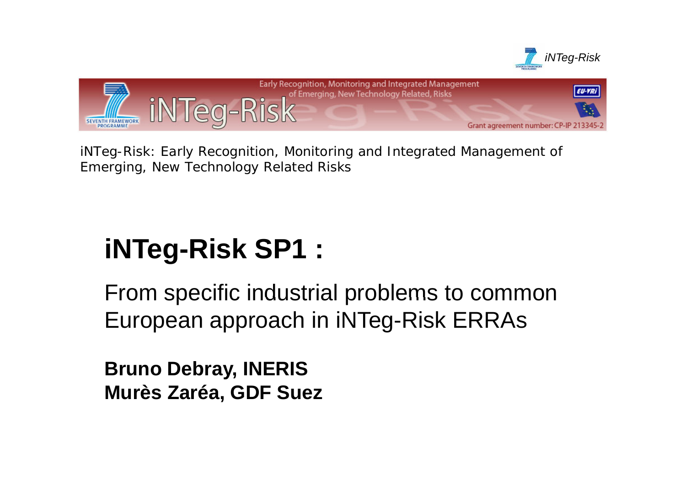



*iNTeg-Risk: Early Recognition, Monitoring and Integrated Management of Emerging, New Technology Related Risks*

# $i$  **NTeg-Risk SP1 :**

From specific industrial problems to common European approach in iNTeg-Risk ERRAs

**Bruno Debray, INERIS Murès Zaréa, GDF Suez**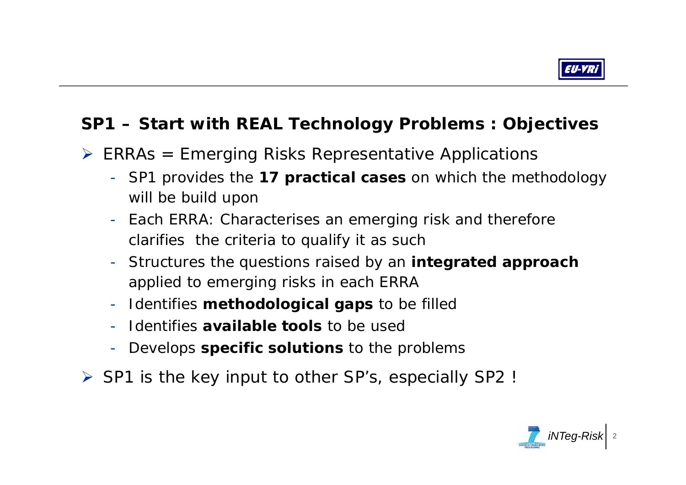

### **SP1 – Start with REAL Technology j Problems : Ob jectives**

- $\triangleright$  ERRAs = Emerging Risks Representative Applications
	- SP1 provides the *17 practical cases* on which the methodology will be build upon
	- Each ERRA: Characterises an emerging risk and therefore clarifies the criteria to qualify it as such
	- Structures the questions raised by an *integrated approach* applied to emerging risks in each ERRA
	- Identifies *methodological gaps* to be filled
	- Identifies *available tools* to be used
	- Develops *specific solutions* to the problems
- ¾ SP1 is the key input to other SP's, especially SP2 !

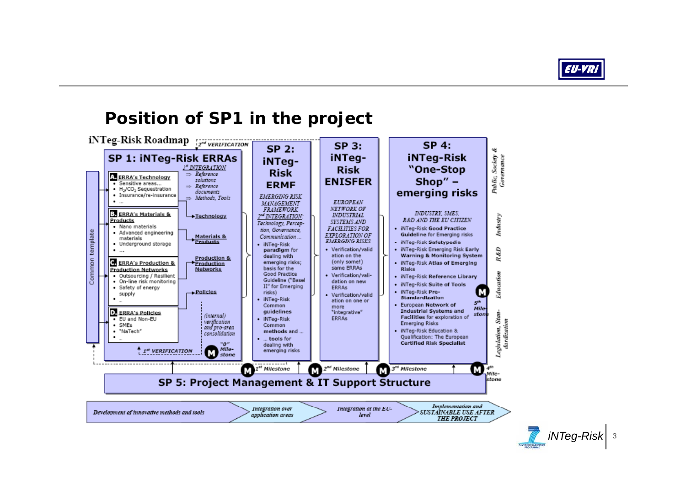

#### **Position of SP1 in the project** iNTeg-Risk Roadmap  $SP<sub>3</sub>$ :  $SP<sub>4</sub>$ **SP 2:** 皑 SP 1: iNTeg-Risk ERRAs iNTeg**iNTeg-Risk** Public, Society iNTeg-I" INTEGRATION "One-Stop **Risk Risk**  $\Rightarrow$  Reference A. ERRA's Technology Shop" $-$ **ENISFER** solutions š · Sensitive areas... **FRMF**  $\Rightarrow$  Reference • H<sub>2</sub>/CO<sub>2</sub> Sequestration emerging risks documents · Insurance/re-insurance **EMERGING RISK** Methods Tools **EUROPEAN** MANAGEMENT **FRAMEWORK** NETWORK OF INDUSTRY, SMES. ERRA's Materials & 2<sup>nd</sup> INTEGRATION: **INDUSTRIAL** Industry Technology Products R&D AND THE EU CITIZEN. SYSTEMS AND Technology, Percep-• Nano materials **FACILITIES FOR** iNTeg-Risk Good Practice tion. Governance. template · Advanced engineering Guideline for Emerging risks Materials & EXPLORATION OF Communication... materials Products **EMERGING RISKS** · iNTeg-Risk Safetypedia · Underground storage · iNTeg-Risk Verification/valid · iNTen-Risk Emerging Risk Early R&D  $\bullet$  ... paradium for dealing with ation on the Warning & Monitoring System Production & Common ERRA's Production & (only some!) emerging risks; · iNTeg-Risk Atlas of Emerging Production same ERRAs **Production Networks Networks** basis for the **Risks** Good Practice · Verification/vali-Education · Outsourcing / Resilient · iNTed-Risk Reference Library Guideline ("Basel . On-line risk monitoring dation on new · iNTeg-Risk Suite of Tools II" for Emerging ERRAS • Safety of energy · iNTeg-Risk Preм - Policies risks) supply · Verification/valid Standardization iNTeg-Risk ation on one or gth · European Network of Common more Mile **Industrial Systems and D. ERRA's Policies** guidelines "integrative" ston (internal) **Stan** Facilities for exploration of  $\overline{\bullet}$  EU and Non-EU · iNTeg-Risk **FRRAs** verification<br>and pro-area dardization **Emerging Risks**  $\bullet$  SMFs. Common iNTeg-Risk Education & Legislation, · "NaTech" methods and ... consolidation Qualification: The European ... tools for "0"<br>Mile-<br>stone **Certified Risk Specialist** dealing with <sup>4</sup> 1st VERIFICATION emerging risks м ----------------2<sup>nd</sup> Milestone M 1<sup>st</sup> Milestone м 3<sup>rd</sup> Milestone м м dile-SP 5: Project Management & IT Support Structure stone Implementation and Integration over Integration at the EU-Development of innovative methods and tools SUSTAINABLE USE AFTER application areas level **THE PROJECT** *iNTeg-Risk* <sup>3</sup>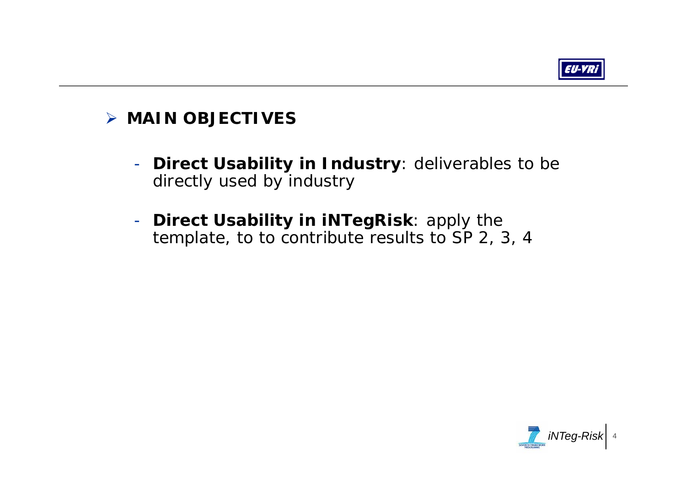

## ¾ **MAIN OBJECTIVES**

- - **Direct Usability in Industry**: deliverables to be directly used by industry
- - **Direct Usability in iNTegRisk**: apply the template, to to contribute results to SP 2, 3, 4

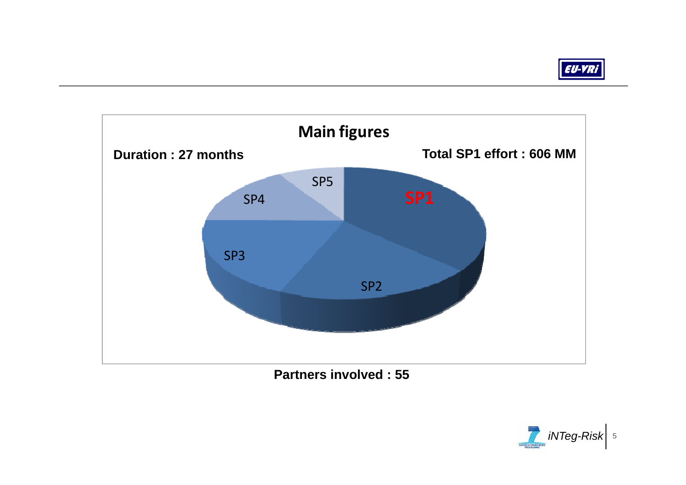



**Partners involved : 55**

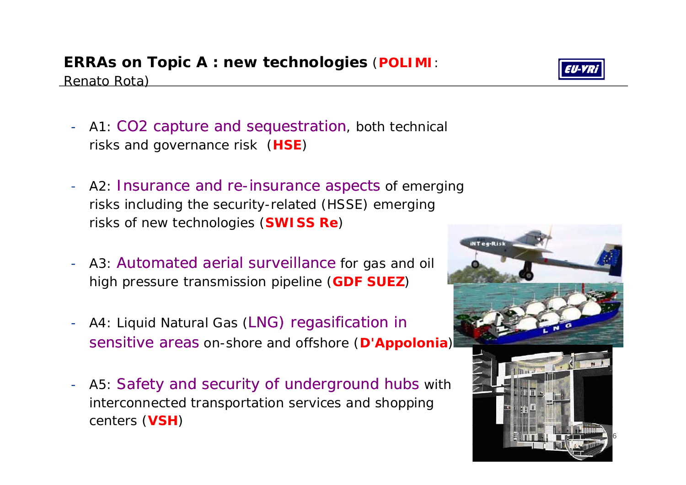## **ERRAs on Topic A : new technologies** (**POLIMI**:

<u>Renato Rota)</u>

- A1: CO2 capture and sequestration, both technical risks and governance risk (**HSE**)
- A2: Insurance and re-insurance aspects of emerging risks including the security-related (HSSE) emerging risks of new technologies (**SWISS Re** )
- A3: Automated aerial surveillance for gas and oil high pressure transmission pipeline (**GDF SUEZ** )
- A4: Liquid Natural Gas (LNG) regasification in sensitive areas on-shore and offshore (**D'Appolonia** )
- A5: Safety and security of underground hubs with interconnected transportation services and shopping centers (**VSH** )





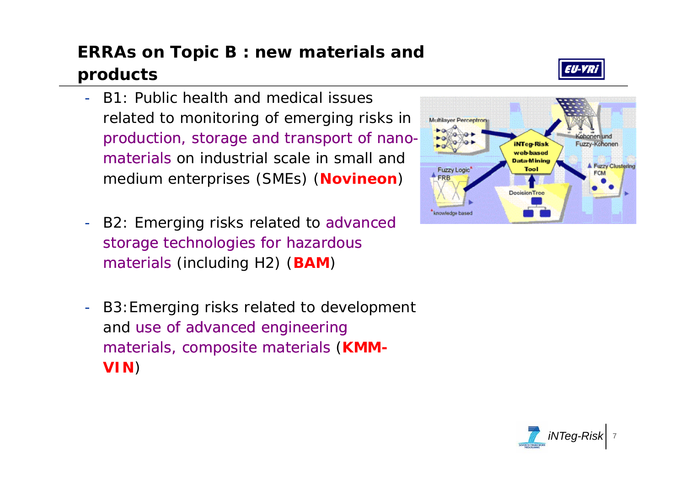## **ERRAs on Topic B : new materials and products**

- - B1: Public health and medical issues related to monitoring of emerging risks in production, storage and transport of nanomaterials on industrial scale in small and medium enterprises (SMEs) (**Novineon** )
- B2: Emerging risks related to advanced storage technologies for hazardous materials (including H2) (**BAM**)
- B3:Emerging risks related to development and use of advanced engineering materials, composite materials (**KMM - VIN** )





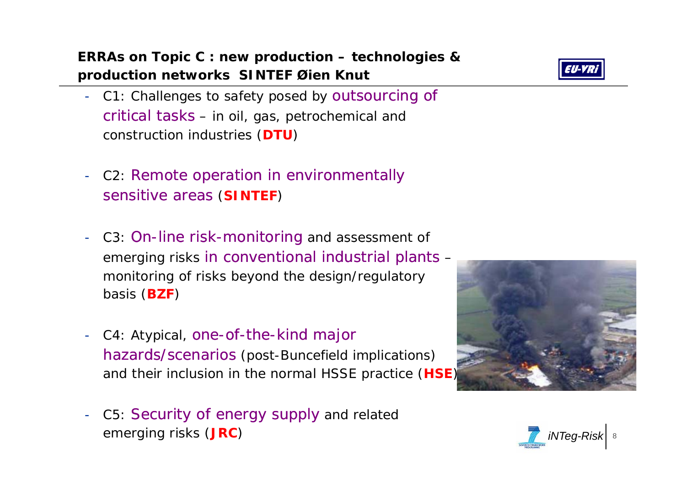**ERRAs on Topic C : new production – technologies & production networks SINTEF Øien Knut**

- C1: Challenges to safety posed by outsourcing of critical tasks – in oil, gas, petrochemical and construction industries (**DTU**)
- C2: Remote operation in environmentally sensitive areas (**SINTEF** )
- C3: On-line risk-monitoring and assessment of emerging risks in conventional industrial plants – monitoring of risks beyond the design/regulatory basis (**BZF** )
- C4: Atypical, one-of-the-kind major hazards/scenarios (post-Buncefield implications) and their inclusion in the normal HSSE practice (**HSE** )
- C5: Security of energy supply and related emerging risks (**JRC** )





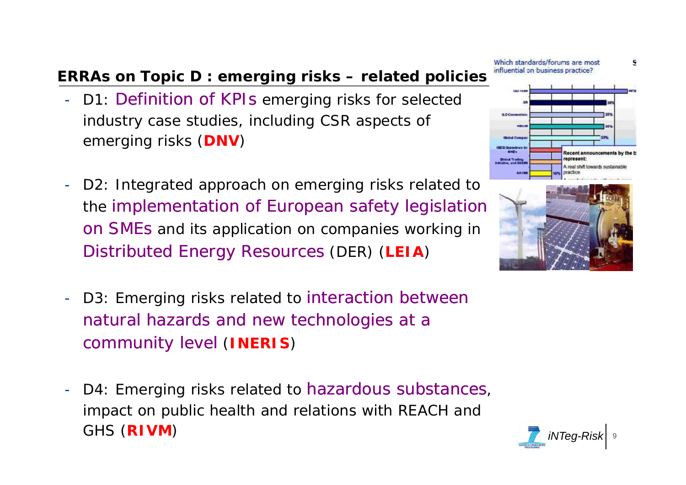## **ERRAs on Topic D : emerging risks – related policies**

- D1: Definition of KPIs emerging risks for selected industry case studies, including CSR aspects of emerging risks (**DNV**)
- D2: Integrated approach on emerging risks related to the implementation of European safety legislation on SMEs and its application on companies working in Distributed Energy Resources (DER) (**LEIA** )
- D3: Emerging risks related to interaction between natural hazards and new technologies at a community level (**INERIS** )
- D4: Emerging risks related to hazardous substances, impact on public health and relations with REACH and impact on public health and relations with REACH and<br>GHS (**RIVM**)



g





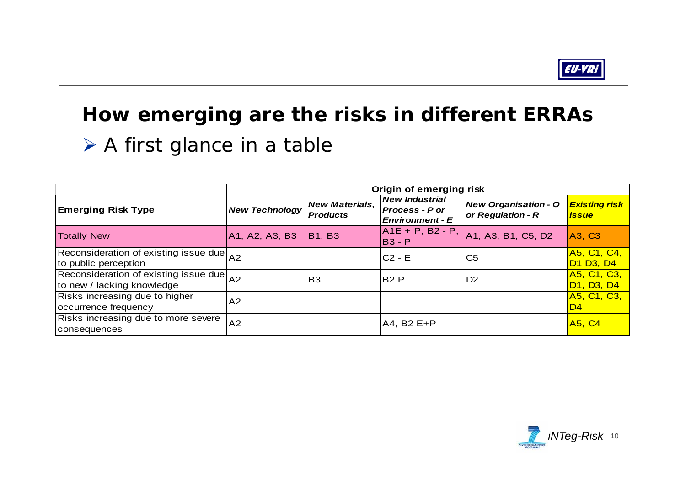

## **How emerging are the risks in different ERRAs**

**≻ A first glance in a table** 

|                                                                        | Origin of emerging risk |                                          |                                                                          |                                                                                    |                                                                 |  |  |  |  |  |  |  |  |
|------------------------------------------------------------------------|-------------------------|------------------------------------------|--------------------------------------------------------------------------|------------------------------------------------------------------------------------|-----------------------------------------------------------------|--|--|--|--|--|--|--|--|
| <b>Emerging Risk Type</b>                                              | <b>New Technology</b>   | <b>New Materials,</b><br><b>Products</b> | <b>New Industrial</b><br><b>Process - P or</b><br><b>Environment - E</b> | <b>New Organisation - O</b><br>or Regulation - R                                   | <b>Existing risk</b><br><i><b>issue</b></i>                     |  |  |  |  |  |  |  |  |
| <b>Totally New</b>                                                     | A1, A2, A3, B3          | <b>B1, B3</b>                            | $A1E + P$ , B2 - P,<br>$B3 - P$                                          | A <sub>1</sub> , A <sub>3</sub> , B <sub>1</sub> , C <sub>5</sub> , D <sub>2</sub> | A3, C3                                                          |  |  |  |  |  |  |  |  |
| Reconsideration of existing issue due A2<br>to public perception       |                         |                                          | $C2 - E$                                                                 | C <sub>5</sub>                                                                     | A5, C1, C4,<br>D <sub>1</sub> D <sub>3</sub> , D <sub>4</sub>   |  |  |  |  |  |  |  |  |
| Reconsideration of existing issue due A2<br>to new / lacking knowledge |                         | <b>B3</b>                                | <b>B2 P</b>                                                              | D <sub>2</sub>                                                                     | A5, C1, C3,<br>D <sub>1</sub> , D <sub>3</sub> , D <sub>4</sub> |  |  |  |  |  |  |  |  |
| Risks increasing due to higher<br>occurrence frequency                 | A2                      |                                          |                                                                          |                                                                                    | A5, C1, C3,<br>D4                                               |  |  |  |  |  |  |  |  |
| Risks increasing due to more severe<br><b>consequences</b>             | A2                      |                                          | A4, B2 E+P                                                               |                                                                                    | <b>A5, C4</b>                                                   |  |  |  |  |  |  |  |  |

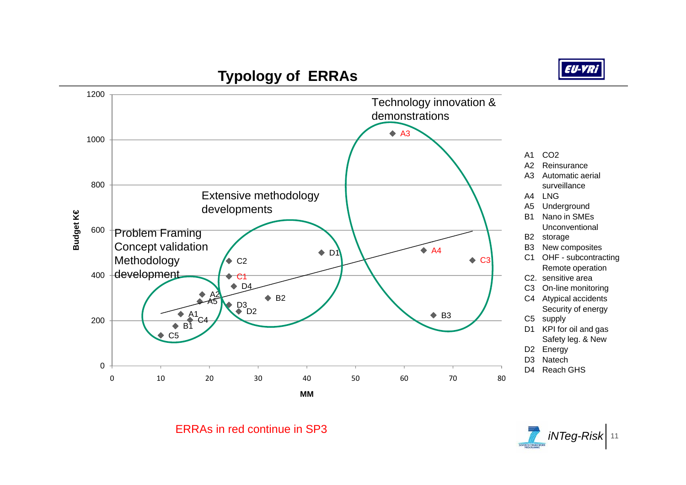

### **Typology of ERRAs ERRAs**



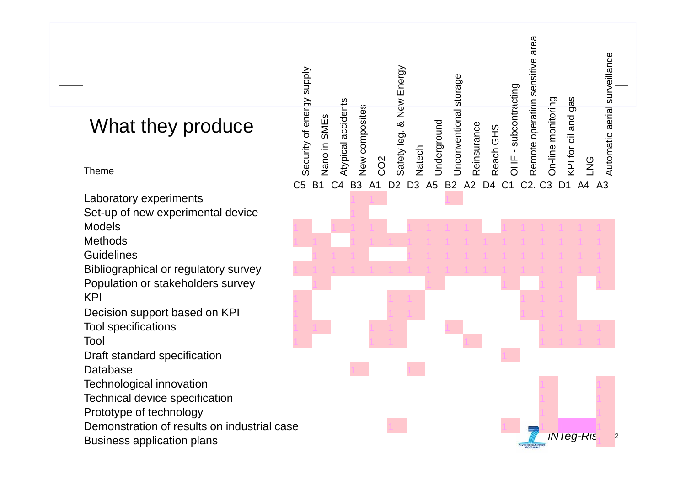|                                             |                                           |                                      |                                  |                          |                             |                                       |                                  | Remote operation sensitive area |                                  |                     | Automatic aerial surveillance |
|---------------------------------------------|-------------------------------------------|--------------------------------------|----------------------------------|--------------------------|-----------------------------|---------------------------------------|----------------------------------|---------------------------------|----------------------------------|---------------------|-------------------------------|
| What they produce                           | Security of energy supply<br>Nano in SMEs | Atypical accidents<br>New composites |                                  | Safety leg. & New Energy | Underground                 | Unconventional storage<br>Reinsurance | Reach GHS                        | OHF - subcontracting            | On-line monitoring               | KPI for oil and gas |                               |
| <b>Theme</b>                                |                                           |                                      | CO <sub>2</sub>                  | Natech                   |                             |                                       |                                  |                                 |                                  | <b>LNG</b>          |                               |
|                                             | C <sub>5</sub><br><b>B1</b>               | C <sub>4</sub><br>B <sub>3</sub>     | D <sub>2</sub><br>A <sub>1</sub> | D <sub>3</sub>           | A <sub>5</sub><br><b>B2</b> | A2                                    | D <sub>4</sub><br>C <sub>1</sub> | C <sub>2</sub> .                | C <sub>3</sub><br>D <sub>1</sub> | A4 A3               |                               |
| Laboratory experiments                      |                                           |                                      |                                  |                          |                             |                                       |                                  |                                 |                                  |                     |                               |
| Set-up of new experimental device           |                                           |                                      |                                  |                          |                             |                                       |                                  |                                 |                                  |                     |                               |
| <b>Models</b>                               |                                           |                                      |                                  |                          |                             |                                       |                                  |                                 |                                  |                     |                               |
| <b>Methods</b>                              |                                           |                                      |                                  |                          |                             |                                       |                                  |                                 |                                  |                     |                               |
| <b>Guidelines</b>                           |                                           |                                      |                                  |                          |                             |                                       |                                  |                                 |                                  |                     |                               |
| Bibliographical or regulatory survey        |                                           |                                      |                                  |                          |                             |                                       |                                  |                                 |                                  |                     |                               |
| Population or stakeholders survey           |                                           |                                      |                                  |                          |                             |                                       |                                  |                                 |                                  |                     |                               |
| <b>KPI</b>                                  |                                           |                                      |                                  |                          |                             |                                       |                                  |                                 |                                  |                     |                               |
| Decision support based on KPI               |                                           |                                      |                                  |                          |                             |                                       |                                  |                                 |                                  |                     |                               |
| <b>Tool specifications</b>                  |                                           |                                      |                                  |                          |                             |                                       |                                  |                                 |                                  |                     |                               |
| Tool                                        |                                           |                                      |                                  |                          |                             |                                       |                                  |                                 |                                  |                     |                               |
| Draft standard specification                |                                           |                                      |                                  |                          |                             |                                       |                                  |                                 |                                  |                     |                               |
| <b>Database</b>                             |                                           |                                      |                                  |                          |                             |                                       |                                  |                                 |                                  |                     |                               |
| <b>Technological innovation</b>             |                                           |                                      |                                  |                          |                             |                                       |                                  |                                 |                                  |                     |                               |
| Technical device specification              |                                           |                                      |                                  |                          |                             |                                       |                                  |                                 |                                  |                     |                               |
| Prototype of technology                     |                                           |                                      |                                  |                          |                             |                                       |                                  |                                 |                                  |                     |                               |
| Demonstration of results on industrial case |                                           |                                      |                                  |                          |                             |                                       |                                  |                                 |                                  |                     |                               |
|                                             |                                           |                                      |                                  |                          |                             |                                       |                                  |                                 |                                  | iN leg-Ris          |                               |
| <b>Business application plans</b>           |                                           |                                      |                                  |                          |                             |                                       |                                  |                                 |                                  |                     |                               |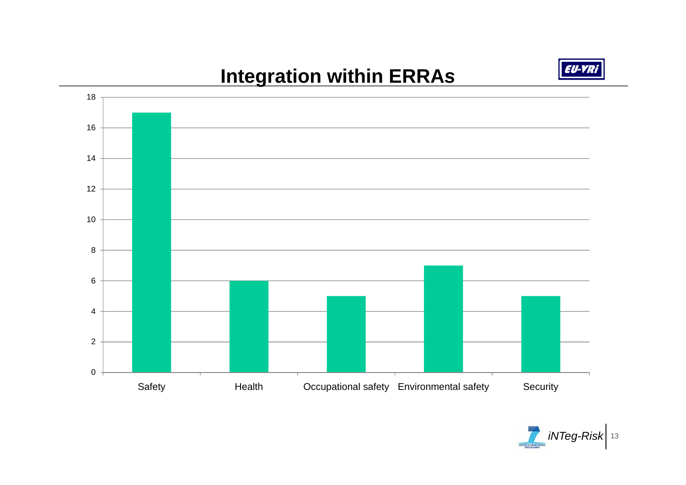## **Integration within ERRAs**





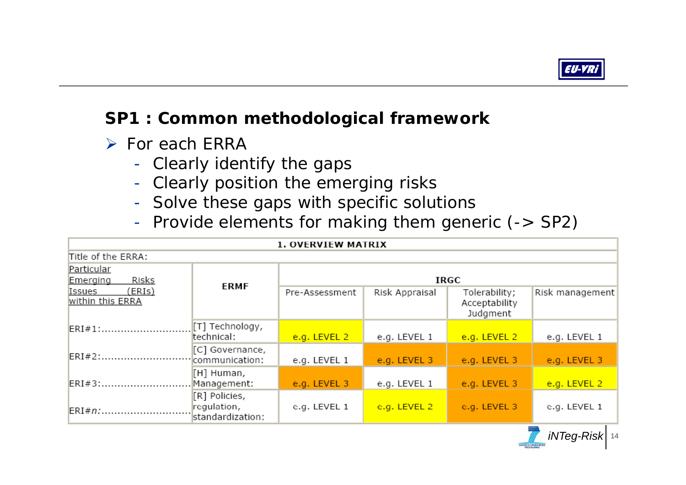

*<i>iNTeg-Risk* 14

## **SP1 : Common methodological framework**

¾ *For each ERRA* 

- -*Clearly identify the gaps*
- -*Clearly position the emerging risks*
- -*Solve these gaps with specific solutions*
- -*Provide elements for making them generic (-> SP2)*

|                                        |                                                  | <b>1. OVERVIEW MATRIX</b> |                |                                            |                 |  |  |  |  |  |  |  |
|----------------------------------------|--------------------------------------------------|---------------------------|----------------|--------------------------------------------|-----------------|--|--|--|--|--|--|--|
| Title of the ERRA:                     |                                                  |                           |                |                                            |                 |  |  |  |  |  |  |  |
| Particular<br><b>Risks</b><br>Emerging | <b>ERMF</b>                                      | IRGC                      |                |                                            |                 |  |  |  |  |  |  |  |
| (ERIs)<br>Issues<br>within this ERRA   |                                                  | Pre-Assessment            | Risk Appraisal | Tolerability;<br>Acceptability<br>Judgment | Risk management |  |  |  |  |  |  |  |
| $ERI # 1:$                             | [T] Technology,<br>technical:                    | e.g. LEVEL 2              | e.g. LEVEL 1   | e.g. LEVEL 2                               | e.g. LEVEL 1    |  |  |  |  |  |  |  |
| $ERI#2:$                               | [C] Governance,<br>communication:                | e.g. LEVEL 1              | e.g. LEVEL 3   | e.g. LEVEL 3                               | e.g. LEVEL 3    |  |  |  |  |  |  |  |
| ERI#3:                                 | [H] Human,<br>Management:                        | e.g. LEVEL 3              | e.g. LEVEL 1   | e.g. LEVEL 3                               | e.g. LEVEL 2    |  |  |  |  |  |  |  |
| $ERI#n:$                               | [R] Policies,<br>regulation,<br>standardization: | e.g. LEVEL 1              | e.g. LEVEL 2   | e.g. LEVEL 3                               | e.g. LEVEL 1    |  |  |  |  |  |  |  |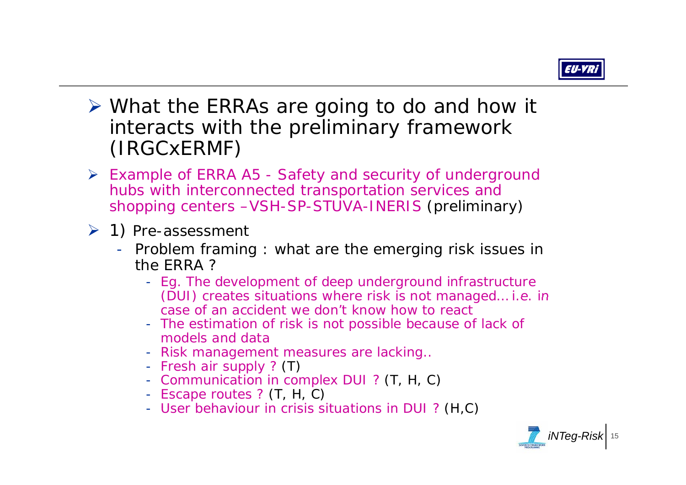

- ¾ What the ERRAs are going to do and how it interacts with the preliminary framework (IRGCxERMF)
- ¾ Example of ERRA A5 Safety and security of underground hubs with interconnected transportation services and shopping centers –VSH-SP-STUVA-INERIS (preliminary)
- $\geq 1$ ) Pre-assessment
	- Problem framing : what are the emerging risk issues in the ERRA ?
		- Eg. The development of deep underground infrastructure (DUI) creates situations where risk is not managed... i.e. in case of an accident we don't know how to react
		- The estimation of risk is not possible because of lack of models and data
		- Risk management measures are lacking..
		- Fresh air supply ? (T)
		- Communication in complex DUI ? (T, H, C)
		- Escape routes ? (T, H, C)
		- User behaviour in crisis situations in DUI? (H,C)

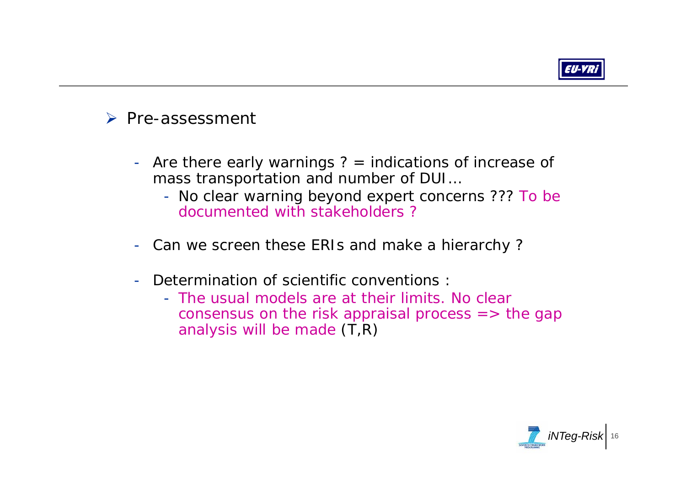

## ¾ Pre-assessment

- Are there early warnings ? = indications of increase of mass transportation and number of DUI…
	- No clear warning beyond expert concerns ??? To be documented with stakeholders ?
- Can we screen these ERIs and make a hierarchy ?
- - Determination of scientific conventions :
	- The usual models are at their limits. No clear consensus on the risk appraisal process  $\Rightarrow$  the gap analysis will be made  $(T,R)$

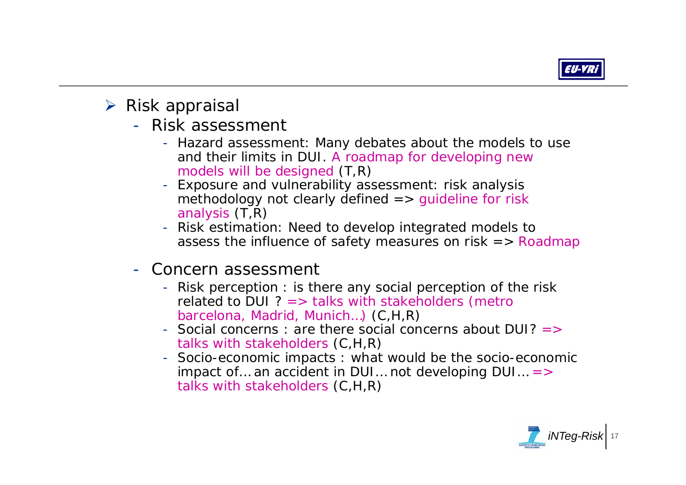

- $\triangleright$  Risk appraisal
	- Risk assessment
		- Hazard assessment: Many debates about the models to use and their limits in DUI. A roadmap for developing new models will be designed (T,R)
		- Exposure and vulnerability assessment: risk analysis methodology not clearly defined  $\Rightarrow$  quideline for risk analysis (T,R)
		- Risk estimation: Need to develop integrated models to assess the influence of safety measures on risk  $\Rightarrow$  Roadmap
	- Concern assessment
		- Risk perception : is there any social perception of the risk related to DUI  $? =>$  talks with stakeholders (metro barcelona, Madrid, Munich…) (C,H,R)
		- Social concerns : are there social concerns about DUI? => talks with stakeholders (C,H,R)
		- Socio-economic impacts : what would be the socio-economic impact of... an accident in DUI... not developing  $DUI... =$ talks with stakeholders (C,H,R)

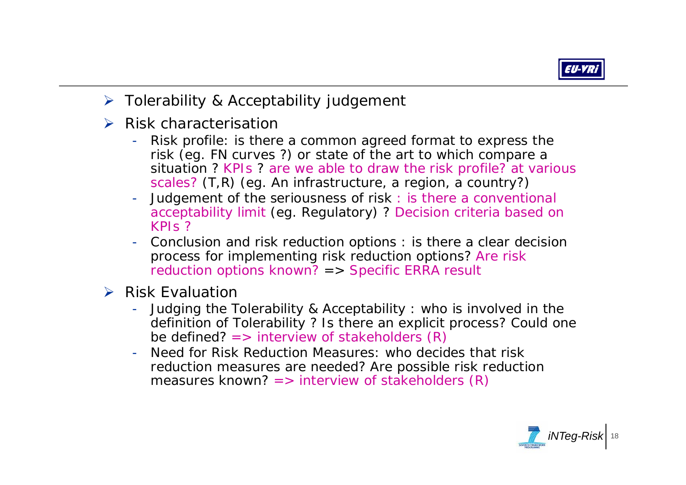

- ¾ Tolerability & Acceptability judgement
- $\triangleright$  Risk characterisation
	- Risk profile: is there a common agreed format to express the risk (eg. FN curves ?) or state of the art to which compare a situation ? KPIs ? are we able to draw the risk profile? at various scales? (T,R) (eg. An infrastructure, a region, a country?)
	- - Judgement of the seriousness of risk : is there a conventional acceptability limit (eg. Regulatory) ? Decision criteria based on  $KPIS$  ?
	- - Conclusion and risk reduction options : is there a clear decision process for implementing risk reduction options? Are risk reduction options known? => Specific ERRA result
- $\triangleright$  Risk Evaluation
	- - Judging the Tolerability & Acceptability : who is involved in the definition of Tolerability ? Is there an explicit process? Could one be defined?  $\Rightarrow$  interview of stakeholders  $(R)$
	- Need for Risk Reduction Measures: who decides that risk reduction measures are needed? Are possible risk reduction measures known? => interview of stakeholders (R)

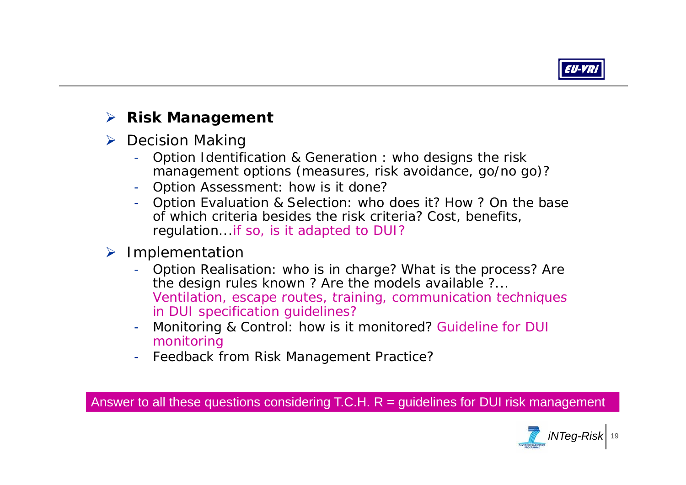

#### ¾**Risk Management**

- **▶ Decision Making** 
	- - Option Identification & Generation : who designs the risk management options (measures, risk avoidance, go/no go)?
	- Option Assessment: how is it done?
	- - Option Evaluation & Selection: who does it? How ? On the base of which criteria besides the risk criteria? Cost, benefits, regulation...if so, is it adapted to DUI?

### ¾ Implementation

- Option Realisation: who is in charge? What is the process? Are the design rules known ? Are the models available ?... Ventilation, escape routes, training, communication techniques in DUI specification guidelines?
- - Monitoring & Control: how is it monitored? Guideline for DUI monitoring
- Feedback from Risk Management Practice?

Answer to all these questions considering T.C.H.  $R =$  guidelines for DUI risk management

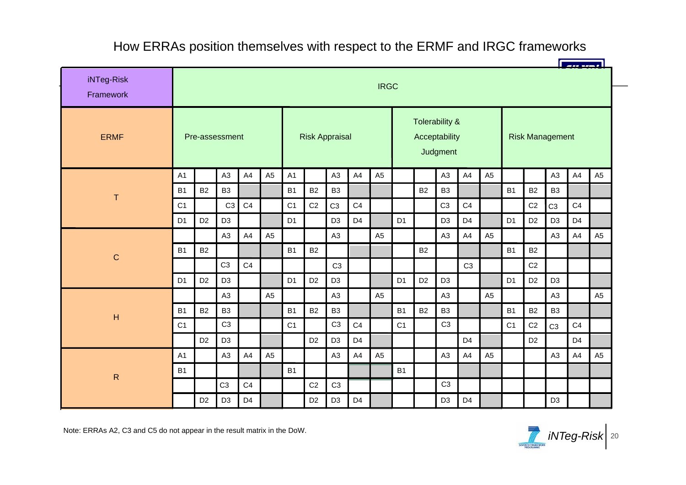#### How ERRAs position themselves with respect to the ERMF and IRGC frameworks

| iNTeg-Risk<br>Framework | <b>IRGC</b>    |                |                |                |                       |                |                |                |                                             |                |                |                |                        |                |                |                |                |                |                |                |
|-------------------------|----------------|----------------|----------------|----------------|-----------------------|----------------|----------------|----------------|---------------------------------------------|----------------|----------------|----------------|------------------------|----------------|----------------|----------------|----------------|----------------|----------------|----------------|
| <b>ERMF</b>             | Pre-assessment |                |                |                | <b>Risk Appraisal</b> |                |                |                | Tolerability &<br>Acceptability<br>Judgment |                |                |                | <b>Risk Management</b> |                |                |                |                |                |                |                |
|                         | A1             |                | A <sub>3</sub> | A4             | A <sub>5</sub>        | A1             |                | A3             | A4                                          | A <sub>5</sub> |                |                | A <sub>3</sub>         | A4             | A <sub>5</sub> |                |                | A <sub>3</sub> | A4             | A <sub>5</sub> |
| T                       | <b>B1</b>      | <b>B2</b>      | B <sub>3</sub> |                |                       | <b>B1</b>      | <b>B2</b>      | B <sub>3</sub> |                                             |                |                | <b>B2</b>      | B <sub>3</sub>         |                |                | <b>B1</b>      | <b>B2</b>      | B <sub>3</sub> |                |                |
|                         | C <sub>1</sub> |                | C <sub>3</sub> | C <sub>4</sub> |                       | C <sub>1</sub> | C <sub>2</sub> | C <sub>3</sub> | C <sub>4</sub>                              |                |                |                | C <sub>3</sub>         | C <sub>4</sub> |                |                | C <sub>2</sub> | C <sub>3</sub> | C <sub>4</sub> |                |
|                         | D <sub>1</sub> | D <sub>2</sub> | D <sub>3</sub> |                |                       | D <sub>1</sub> |                | D <sub>3</sub> | D <sub>4</sub>                              |                | D <sub>1</sub> |                | D <sub>3</sub>         | D <sub>4</sub> |                | D <sub>1</sub> | D <sub>2</sub> | D <sub>3</sub> | D <sub>4</sub> |                |
|                         |                |                | A <sub>3</sub> | A4             | A <sub>5</sub>        |                |                | A <sub>3</sub> |                                             | A <sub>5</sub> |                |                | A <sub>3</sub>         | A4             | A <sub>5</sub> |                |                | A <sub>3</sub> | A4             | A <sub>5</sub> |
| $\mathsf{C}$            | <b>B1</b>      | <b>B2</b>      |                |                |                       | <b>B1</b>      | <b>B2</b>      |                |                                             |                |                | <b>B2</b>      |                        |                |                | B <sub>1</sub> | <b>B2</b>      |                |                |                |
|                         |                |                | C <sub>3</sub> | C4             |                       |                |                | C <sub>3</sub> |                                             |                |                |                |                        | C <sub>3</sub> |                |                | C <sub>2</sub> |                |                |                |
|                         | D <sub>1</sub> | D <sub>2</sub> | D <sub>3</sub> |                |                       | D <sub>1</sub> | D <sub>2</sub> | D <sub>3</sub> |                                             |                | D <sub>1</sub> | D <sub>2</sub> | D <sub>3</sub>         |                |                | D <sub>1</sub> | D <sub>2</sub> | D <sub>3</sub> |                |                |
|                         |                |                | A <sub>3</sub> |                | A <sub>5</sub>        |                |                | A <sub>3</sub> |                                             | A <sub>5</sub> |                |                | A <sub>3</sub>         |                | A <sub>5</sub> |                |                | A <sub>3</sub> |                | A <sub>5</sub> |
| $\mathsf{H}$            | <b>B1</b>      | <b>B2</b>      | B <sub>3</sub> |                |                       | <b>B1</b>      | B <sub>2</sub> | B <sub>3</sub> |                                             |                | <b>B1</b>      | <b>B2</b>      | B <sub>3</sub>         |                |                | <b>B1</b>      | <b>B2</b>      | B <sub>3</sub> |                |                |
|                         | C <sub>1</sub> |                | C <sub>3</sub> |                |                       | C <sub>1</sub> |                | C <sub>3</sub> | C <sub>4</sub>                              |                | C <sub>1</sub> |                | C <sub>3</sub>         |                |                | C <sub>1</sub> | C <sub>2</sub> | C <sub>3</sub> | C <sub>4</sub> |                |
|                         |                | D <sub>2</sub> | D <sub>3</sub> |                |                       |                | D <sub>2</sub> | D <sub>3</sub> | D <sub>4</sub>                              |                |                |                |                        | D <sub>4</sub> |                |                | D <sub>2</sub> |                | D <sub>4</sub> |                |
|                         | A1             |                | A <sub>3</sub> | A4             | A <sub>5</sub>        |                |                | A <sub>3</sub> | A4                                          | A <sub>5</sub> |                |                | A <sub>3</sub>         | A4             | A <sub>5</sub> |                |                | A <sub>3</sub> | A4             | A <sub>5</sub> |
| $\mathsf{R}$            | <b>B1</b>      |                |                |                |                       | <b>B1</b>      |                |                |                                             |                | <b>B1</b>      |                |                        |                |                |                |                |                |                |                |
|                         |                |                | C <sub>3</sub> | C <sub>4</sub> |                       |                | C <sub>2</sub> | C <sub>3</sub> |                                             |                |                |                | C <sub>3</sub>         |                |                |                |                |                |                |                |
|                         |                | D <sub>2</sub> | D <sub>3</sub> | D <sub>4</sub> |                       |                | D <sub>2</sub> | D <sub>3</sub> | D <sub>4</sub>                              |                |                |                | D <sub>3</sub>         | D <sub>4</sub> |                |                |                | D <sub>3</sub> |                |                |

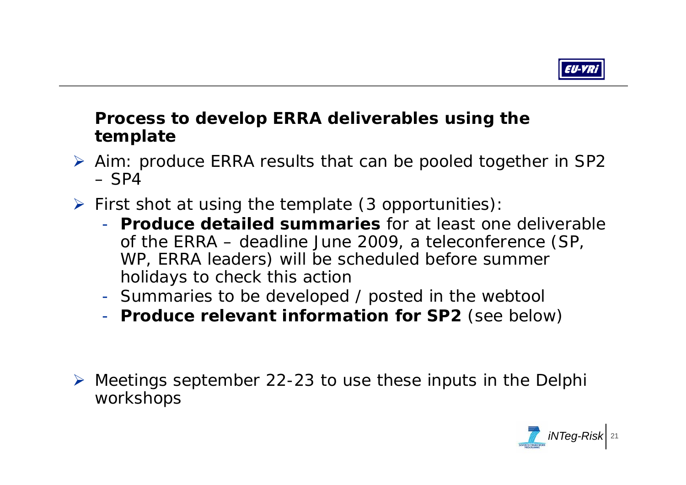

## **Process to develop ERRA deliverables using the t lt emp a t e**

- ¾ Aim: produce ERRA results that can be pooled together in SP2 – SP4
- $\triangleright$  First shot at using the template (3 opportunities):
	- **Produce detailed summaries** for at least one deliverable of the ERRA – deadline June 2009, a teleconference (SP, WP, ERRA leaders) will be scheduled before summer holidays to check this action
	- -- Summaries to be developed / posted in the webtool
	- **Produce relevant information for SP2** (see below)
- ¾ Meetings september 22-23 to use these inputs in the Delphi workshops

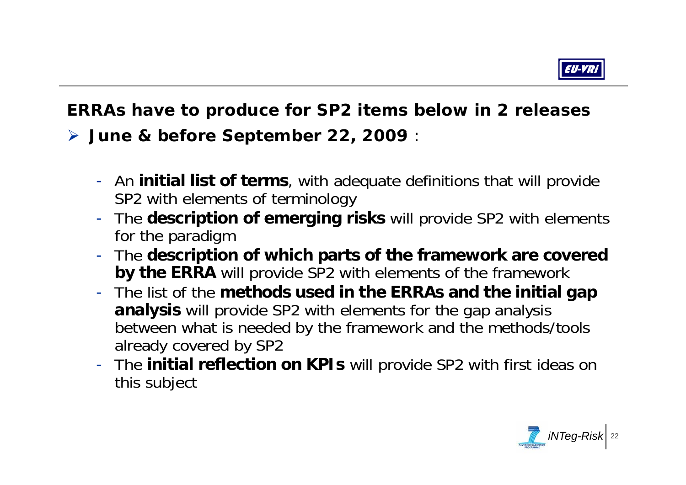

## **ERRAs have to produce for SP2 items below in 2 releases**

¾ **J e & befo e Se te be 22 2009 June re Se pte mbe r 22, 2009**:

- -- An **initial list of terms**, with adequate definitions that will provide SP2 with elements of terminology
- - The **description of emerging risks** will provide SP2 with elements for the paradigm
- - The **description of which parts of the framework are covered by the ERRA** will provide SP2 with elements of the framework
- - The list of the **methods used in the ERRAs and the initial gap methods and analysis** will provide SP2 with elements for the gap analysis between what is needed by the framework and the methods/tools already covered by SP2
- The **initial reflection on KPIs** will provide SP2 with first ideas on this subject

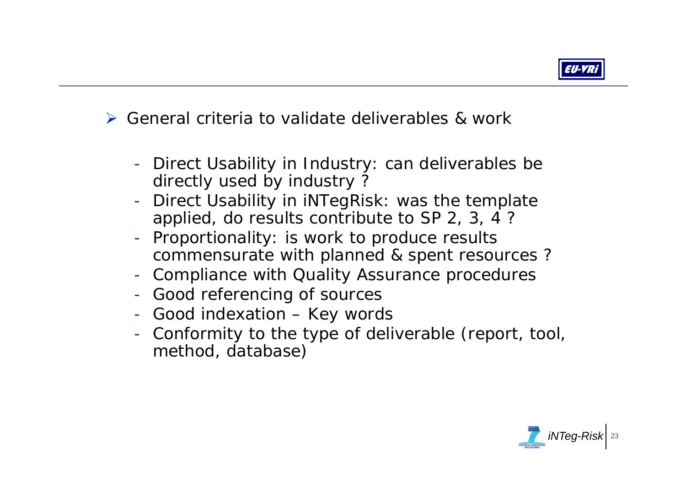

¾ General criteria to validate deliverables & work

- -- Direct Usability in Industry: can deliverables be directly used by industry?
- - Direct Usability in iNTegRisk: was the template applied, do results contribute to SP 2, 3, 4 ?
- -- Proportionality: is work to produce results commensurate with planned & spent resources ?
- -Compliance with Quality Assurance procedures
- -Good referencing of sources
- -- Good indexation – Key words
- - Conformity to the type of deliverable (report, tool, method, database)